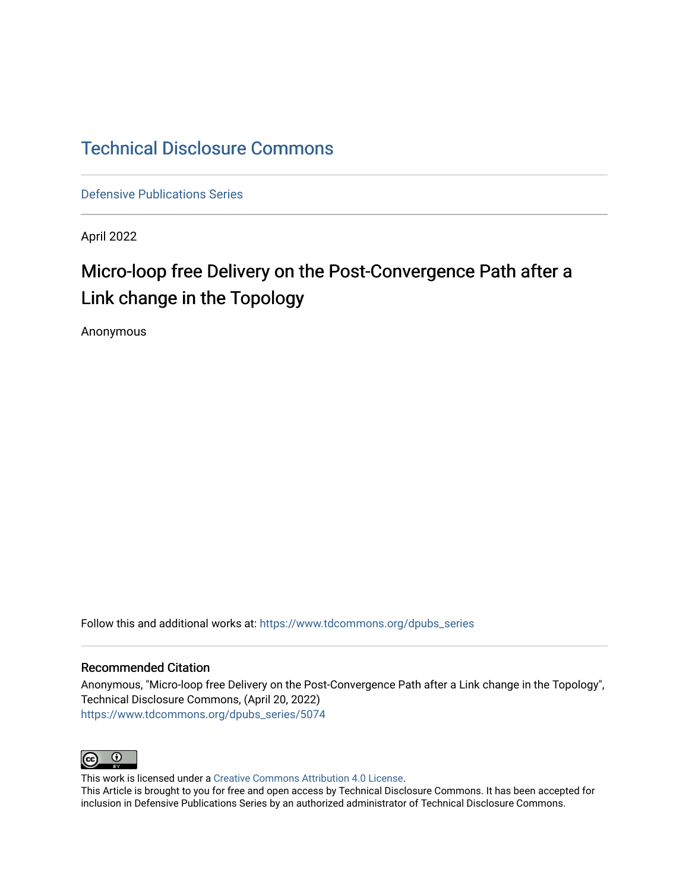## [Technical Disclosure Commons](https://www.tdcommons.org/)

[Defensive Publications Series](https://www.tdcommons.org/dpubs_series)

April 2022

# Micro-loop free Delivery on the Post-Convergence Path after a Link change in the Topology

Anonymous

Follow this and additional works at: [https://www.tdcommons.org/dpubs\\_series](https://www.tdcommons.org/dpubs_series?utm_source=www.tdcommons.org%2Fdpubs_series%2F5074&utm_medium=PDF&utm_campaign=PDFCoverPages) 

#### Recommended Citation

Anonymous, "Micro-loop free Delivery on the Post-Convergence Path after a Link change in the Topology", Technical Disclosure Commons, (April 20, 2022) [https://www.tdcommons.org/dpubs\\_series/5074](https://www.tdcommons.org/dpubs_series/5074?utm_source=www.tdcommons.org%2Fdpubs_series%2F5074&utm_medium=PDF&utm_campaign=PDFCoverPages)



This work is licensed under a [Creative Commons Attribution 4.0 License](http://creativecommons.org/licenses/by/4.0/deed.en_US).

This Article is brought to you for free and open access by Technical Disclosure Commons. It has been accepted for inclusion in Defensive Publications Series by an authorized administrator of Technical Disclosure Commons.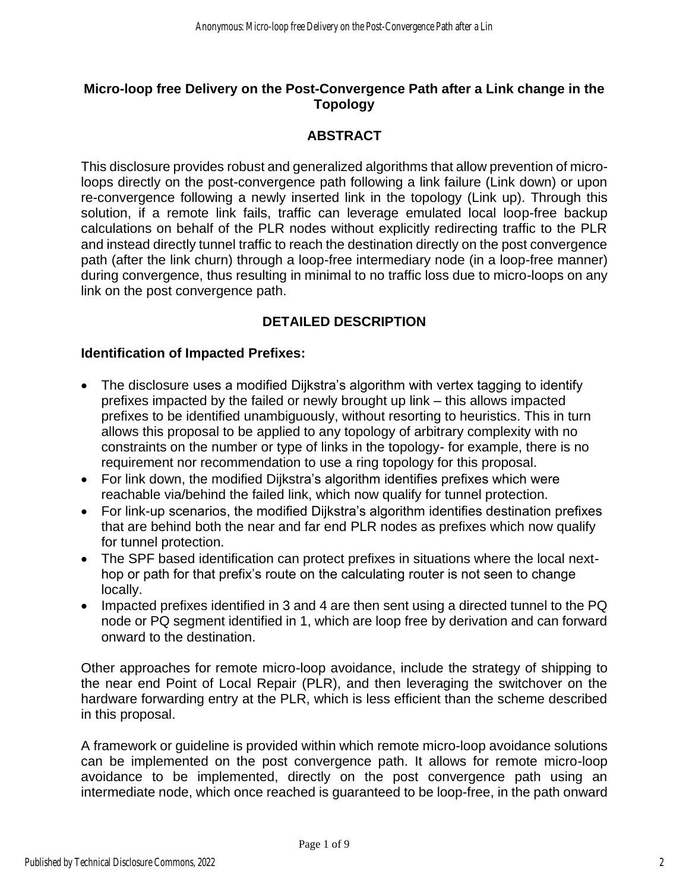#### **Micro-loop free Delivery on the Post-Convergence Path after a Link change in the Topology**

#### **ABSTRACT**

This disclosure provides robust and generalized algorithms that allow prevention of microloops directly on the post-convergence path following a link failure (Link down) or upon re-convergence following a newly inserted link in the topology (Link up). Through this solution, if a remote link fails, traffic can leverage emulated local loop-free backup calculations on behalf of the PLR nodes without explicitly redirecting traffic to the PLR and instead directly tunnel traffic to reach the destination directly on the post convergence path (after the link churn) through a loop-free intermediary node (in a loop-free manner) during convergence, thus resulting in minimal to no traffic loss due to micro-loops on any link on the post convergence path.

### **DETAILED DESCRIPTION**

#### **Identification of Impacted Prefixes:**

- The disclosure uses a modified Diikstra's algorithm with vertex tagging to identify prefixes impacted by the failed or newly brought up link – this allows impacted prefixes to be identified unambiguously, without resorting to heuristics. This in turn allows this proposal to be applied to any topology of arbitrary complexity with no constraints on the number or type of links in the topology- for example, there is no requirement nor recommendation to use a ring topology for this proposal.
- For link down, the modified Dijkstra's algorithm identifies prefixes which were reachable via/behind the failed link, which now qualify for tunnel protection.
- For link-up scenarios, the modified Dijkstra's algorithm identifies destination prefixes that are behind both the near and far end PLR nodes as prefixes which now qualify for tunnel protection.
- The SPF based identification can protect prefixes in situations where the local nexthop or path for that prefix's route on the calculating router is not seen to change locally.
- Impacted prefixes identified in 3 and 4 are then sent using a directed tunnel to the PQ node or PQ segment identified in 1, which are loop free by derivation and can forward onward to the destination.

Other approaches for remote micro-loop avoidance, include the strategy of shipping to the near end Point of Local Repair (PLR), and then leveraging the switchover on the hardware forwarding entry at the PLR, which is less efficient than the scheme described in this proposal.

A framework or guideline is provided within which remote micro-loop avoidance solutions can be implemented on the post convergence path. It allows for remote micro-loop avoidance to be implemented, directly on the post convergence path using an intermediate node, which once reached is guaranteed to be loop-free, in the path onward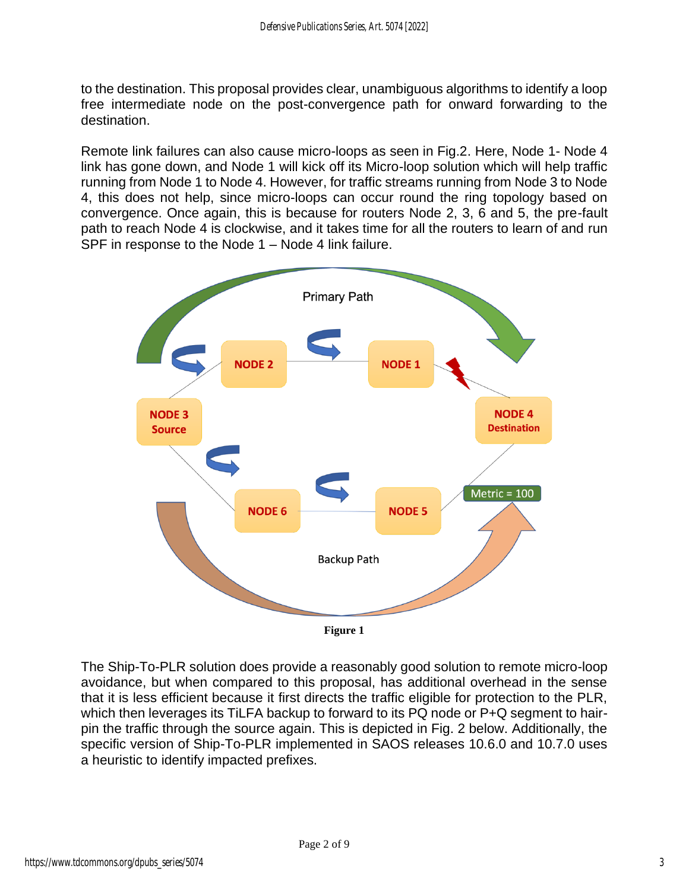to the destination. This proposal provides clear, unambiguous algorithms to identify a loop free intermediate node on the post-convergence path for onward forwarding to the destination.

Remote link failures can also cause micro-loops as seen in Fig.2. Here, Node 1- Node 4 link has gone down, and Node 1 will kick off its Micro-loop solution which will help traffic running from Node 1 to Node 4. However, for traffic streams running from Node 3 to Node 4, this does not help, since micro-loops can occur round the ring topology based on convergence. Once again, this is because for routers Node 2, 3, 6 and 5, the pre-fault path to reach Node 4 is clockwise, and it takes time for all the routers to learn of and run SPF in response to the Node 1 – Node 4 link failure.



The Ship-To-PLR solution does provide a reasonably good solution to remote micro-loop avoidance, but when compared to this proposal, has additional overhead in the sense that it is less efficient because it first directs the traffic eligible for protection to the PLR, which then leverages its TiLFA backup to forward to its PQ node or P+Q segment to hairpin the traffic through the source again. This is depicted in Fig. 2 below. Additionally, the specific version of Ship-To-PLR implemented in SAOS releases 10.6.0 and 10.7.0 uses a heuristic to identify impacted prefixes.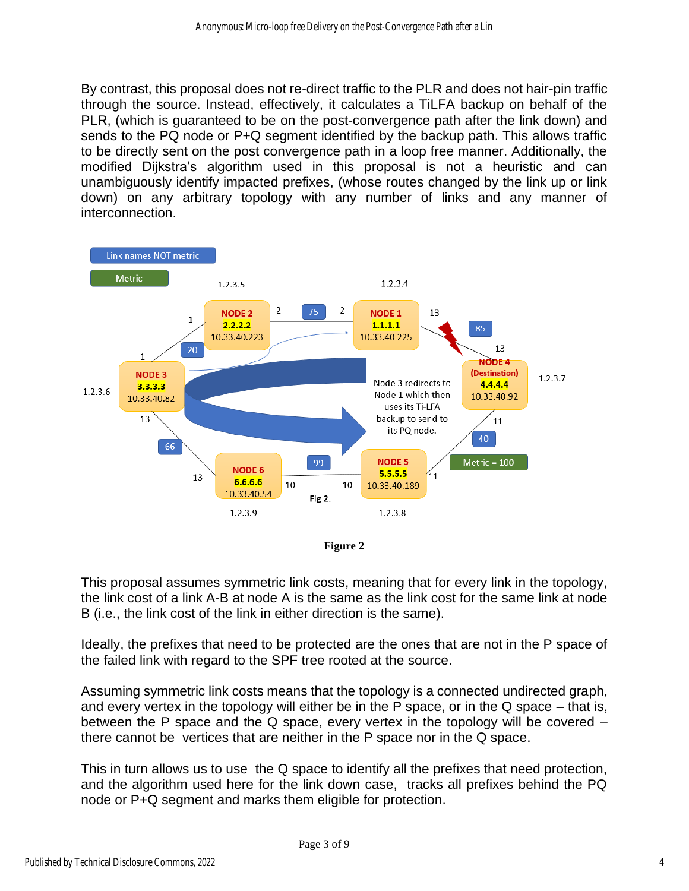By contrast, this proposal does not re-direct traffic to the PLR and does not hair-pin traffic through the source. Instead, effectively, it calculates a TiLFA backup on behalf of the PLR, (which is guaranteed to be on the post-convergence path after the link down) and sends to the PQ node or P+Q segment identified by the backup path. This allows traffic to be directly sent on the post convergence path in a loop free manner. Additionally, the modified Dijkstra's algorithm used in this proposal is not a heuristic and can unambiguously identify impacted prefixes, (whose routes changed by the link up or link down) on any arbitrary topology with any number of links and any manner of interconnection.





This proposal assumes symmetric link costs, meaning that for every link in the topology, the link cost of a link A-B at node A is the same as the link cost for the same link at node B (i.e., the link cost of the link in either direction is the same).

Ideally, the prefixes that need to be protected are the ones that are not in the P space of the failed link with regard to the SPF tree rooted at the source.

Assuming symmetric link costs means that the topology is a connected undirected graph, and every vertex in the topology will either be in the P space, or in the Q space – that is, between the P space and the Q space, every vertex in the topology will be covered – there cannot be vertices that are neither in the P space nor in the Q space.

This in turn allows us to use the Q space to identify all the prefixes that need protection, and the algorithm used here for the link down case, tracks all prefixes behind the PQ node or P+Q segment and marks them eligible for protection.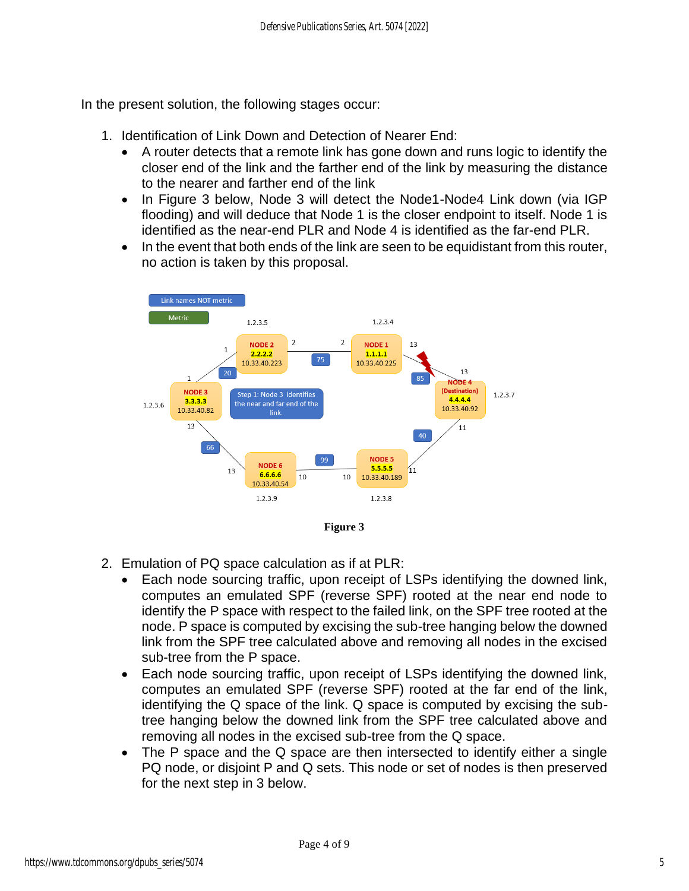In the present solution, the following stages occur:

- 1. Identification of Link Down and Detection of Nearer End:
	- A router detects that a remote link has gone down and runs logic to identify the closer end of the link and the farther end of the link by measuring the distance to the nearer and farther end of the link
	- In Figure 3 below, Node 3 will detect the Node1-Node4 Link down (via IGP flooding) and will deduce that Node 1 is the closer endpoint to itself. Node 1 is identified as the near-end PLR and Node 4 is identified as the far-end PLR.
	- In the event that both ends of the link are seen to be equidistant from this router, no action is taken by this proposal.



- 2. Emulation of PQ space calculation as if at PLR:
	- Each node sourcing traffic, upon receipt of LSPs identifying the downed link, computes an emulated SPF (reverse SPF) rooted at the near end node to identify the P space with respect to the failed link, on the SPF tree rooted at the node. P space is computed by excising the sub-tree hanging below the downed link from the SPF tree calculated above and removing all nodes in the excised sub-tree from the P space.
	- Each node sourcing traffic, upon receipt of LSPs identifying the downed link, computes an emulated SPF (reverse SPF) rooted at the far end of the link, identifying the Q space of the link. Q space is computed by excising the subtree hanging below the downed link from the SPF tree calculated above and removing all nodes in the excised sub-tree from the Q space.
	- The P space and the Q space are then intersected to identify either a single PQ node, or disjoint P and Q sets. This node or set of nodes is then preserved for the next step in 3 below.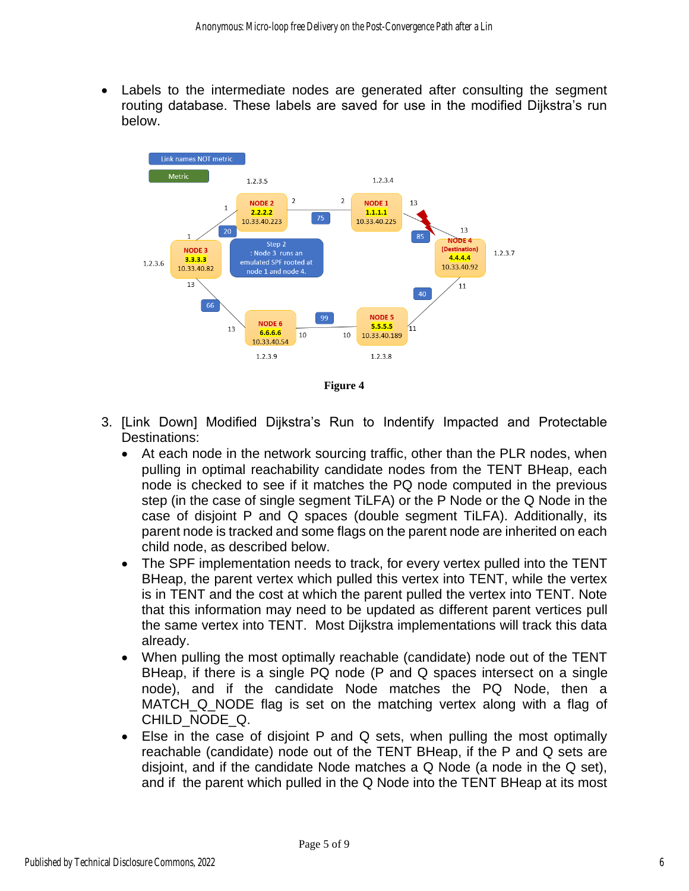Labels to the intermediate nodes are generated after consulting the segment routing database. These labels are saved for use in the modified Dijkstra's run below.



**Figure 4**

- 3. [Link Down] Modified Dijkstra's Run to Indentify Impacted and Protectable Destinations:
	- At each node in the network sourcing traffic, other than the PLR nodes, when pulling in optimal reachability candidate nodes from the TENT BHeap, each node is checked to see if it matches the PQ node computed in the previous step (in the case of single segment TiLFA) or the P Node or the Q Node in the case of disjoint P and Q spaces (double segment TiLFA). Additionally, its parent node is tracked and some flags on the parent node are inherited on each child node, as described below.
	- The SPF implementation needs to track, for every vertex pulled into the TENT BHeap, the parent vertex which pulled this vertex into TENT, while the vertex is in TENT and the cost at which the parent pulled the vertex into TENT. Note that this information may need to be updated as different parent vertices pull the same vertex into TENT. Most Dijkstra implementations will track this data already.
	- When pulling the most optimally reachable (candidate) node out of the TENT BHeap, if there is a single PQ node (P and Q spaces intersect on a single node), and if the candidate Node matches the PQ Node, then a MATCH\_Q\_NODE flag is set on the matching vertex along with a flag of CHILD\_NODE\_Q.
	- Else in the case of disjoint P and Q sets, when pulling the most optimally reachable (candidate) node out of the TENT BHeap, if the P and Q sets are disjoint, and if the candidate Node matches a Q Node (a node in the Q set), and if the parent which pulled in the Q Node into the TENT BHeap at its most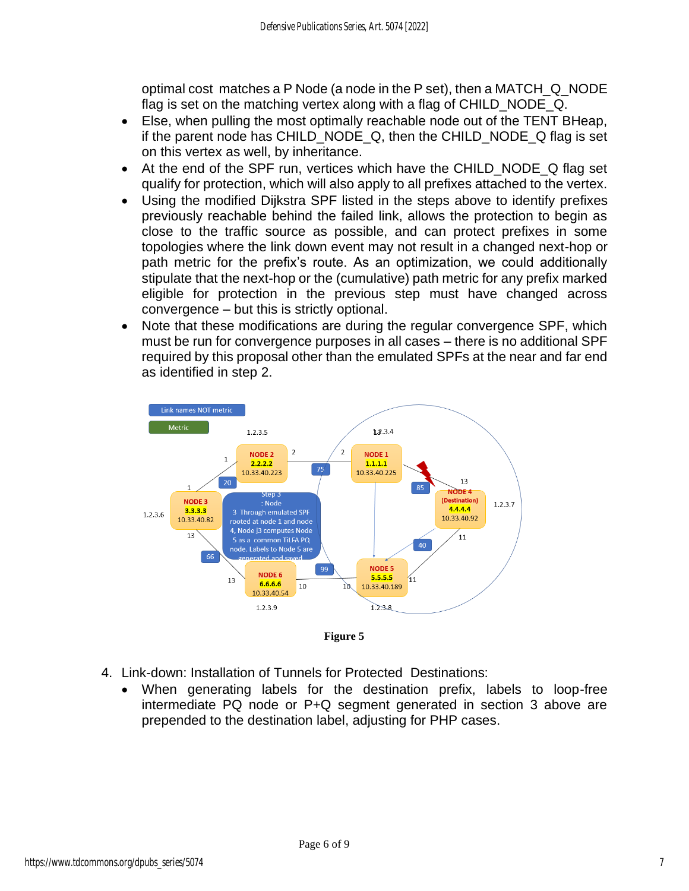optimal cost matches a P Node (a node in the P set), then a MATCH\_Q\_NODE flag is set on the matching vertex along with a flag of CHILD\_NODE\_Q.

- Else, when pulling the most optimally reachable node out of the TENT BHeap, if the parent node has CHILD\_NODE\_Q, then the CHILD\_NODE\_Q flag is set on this vertex as well, by inheritance.
- At the end of the SPF run, vertices which have the CHILD NODE Q flag set qualify for protection, which will also apply to all prefixes attached to the vertex.
- Using the modified Dijkstra SPF listed in the steps above to identify prefixes previously reachable behind the failed link, allows the protection to begin as close to the traffic source as possible, and can protect prefixes in some topologies where the link down event may not result in a changed next-hop or path metric for the prefix's route. As an optimization, we could additionally stipulate that the next-hop or the (cumulative) path metric for any prefix marked eligible for protection in the previous step must have changed across convergence – but this is strictly optional.
- Note that these modifications are during the regular convergence SPF, which must be run for convergence purposes in all cases – there is no additional SPF required by this proposal other than the emulated SPFs at the near and far end as identified in step 2.



**Figure 5**

- 4. Link-down: Installation of Tunnels for Protected Destinations:
	- When generating labels for the destination prefix, labels to loop-free intermediate PQ node or P+Q segment generated in section 3 above are prepended to the destination label, adjusting for PHP cases.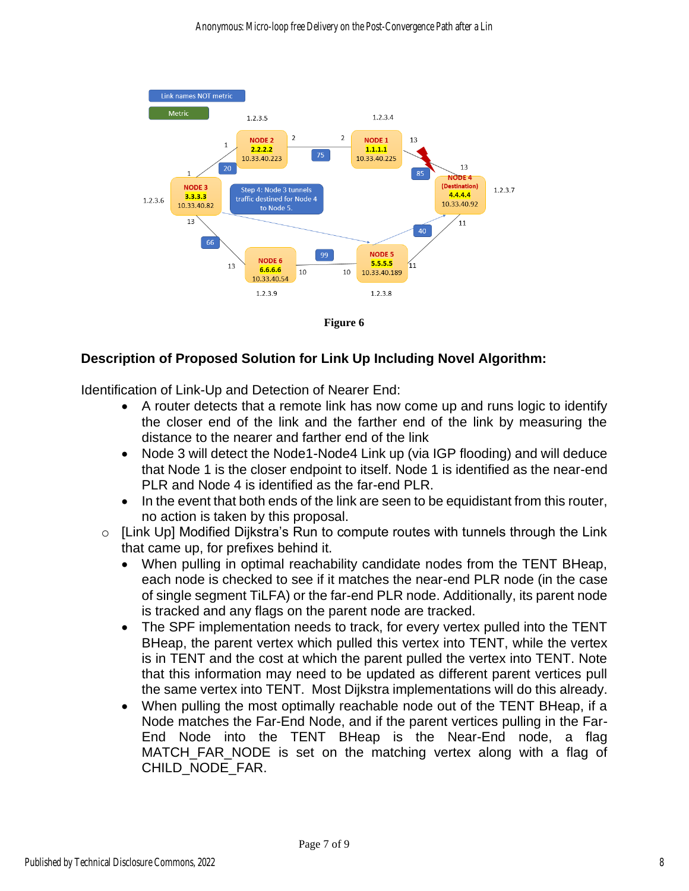



#### **Description of Proposed Solution for Link Up Including Novel Algorithm:**

Identification of Link-Up and Detection of Nearer End:

- A router detects that a remote link has now come up and runs logic to identify the closer end of the link and the farther end of the link by measuring the distance to the nearer and farther end of the link
- Node 3 will detect the Node1-Node4 Link up (via IGP flooding) and will deduce that Node 1 is the closer endpoint to itself. Node 1 is identified as the near-end PLR and Node 4 is identified as the far-end PLR.
- In the event that both ends of the link are seen to be equidistant from this router, no action is taken by this proposal.
- o [Link Up] Modified Dijkstra's Run to compute routes with tunnels through the Link that came up, for prefixes behind it.
	- When pulling in optimal reachability candidate nodes from the TENT BHeap, each node is checked to see if it matches the near-end PLR node (in the case of single segment TiLFA) or the far-end PLR node. Additionally, its parent node is tracked and any flags on the parent node are tracked.
	- The SPF implementation needs to track, for every vertex pulled into the TENT BHeap, the parent vertex which pulled this vertex into TENT, while the vertex is in TENT and the cost at which the parent pulled the vertex into TENT. Note that this information may need to be updated as different parent vertices pull the same vertex into TENT. Most Dijkstra implementations will do this already.
	- When pulling the most optimally reachable node out of the TENT BHeap, if a Node matches the Far-End Node, and if the parent vertices pulling in the Far-End Node into the TENT BHeap is the Near-End node, a flag MATCH\_FAR\_NODE is set on the matching vertex along with a flag of CHILD\_NODE\_FAR.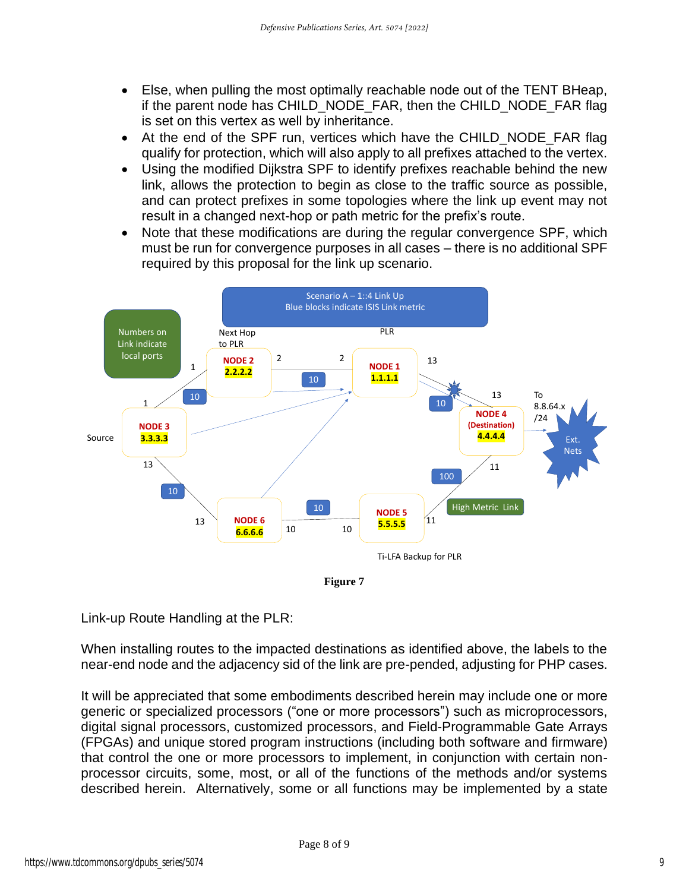- Else, when pulling the most optimally reachable node out of the TENT BHeap, if the parent node has CHILD\_NODE\_FAR, then the CHILD\_NODE\_FAR flag is set on this vertex as well by inheritance.
- At the end of the SPF run, vertices which have the CHILD NODE FAR flag qualify for protection, which will also apply to all prefixes attached to the vertex.
- Using the modified Dijkstra SPF to identify prefixes reachable behind the new link, allows the protection to begin as close to the traffic source as possible, and can protect prefixes in some topologies where the link up event may not result in a changed next-hop or path metric for the prefix's route.
- Note that these modifications are during the regular convergence SPF, which must be run for convergence purposes in all cases – there is no additional SPF required by this proposal for the link up scenario.



**Figure 7**

Link-up Route Handling at the PLR:

When installing routes to the impacted destinations as identified above, the labels to the near-end node and the adjacency sid of the link are pre-pended, adjusting for PHP cases.

It will be appreciated that some embodiments described herein may include one or more generic or specialized processors ("one or more processors") such as microprocessors, digital signal processors, customized processors, and Field-Programmable Gate Arrays (FPGAs) and unique stored program instructions (including both software and firmware) that control the one or more processors to implement, in conjunction with certain nonprocessor circuits, some, most, or all of the functions of the methods and/or systems described herein. Alternatively, some or all functions may be implemented by a state